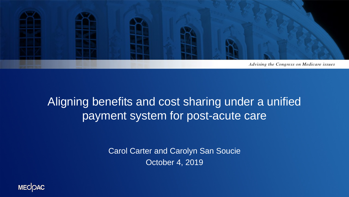

#### Aligning benefits and cost sharing under a unified payment system for post-acute care

Carol Carter and Carolyn San Soucie October 4, 2019

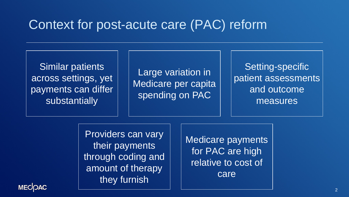#### Context for post-acute care (PAC) reform

Similar patients across settings, yet payments can differ substantially

Large variation in Medicare per capita spending on PAC

Setting-specific patient assessments and outcome measures

Providers can vary their payments through coding and amount of therapy they furnish

Medicare payments for PAC are high relative to cost of care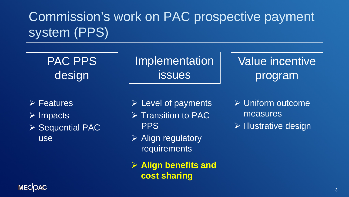# Commission's work on PAC prospective payment system (PPS)



- Features
- $\triangleright$  Impacts
- ▶ Sequential PAC use
- $\triangleright$  Level of payments
- $\triangleright$  Transition to PAC **PPS**
- $\triangleright$  Align regulatory requirements
- **Align benefits and cost sharing**
- Uniform outcome measures
- $\triangleright$  Illustrative design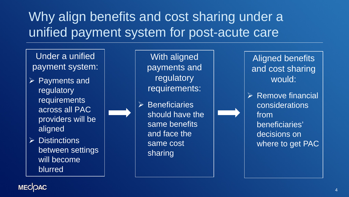# Why align benefits and cost sharing under a unified payment system for post-acute care

Under a unified payment system:

- $\triangleright$  Payments and regulatory requirements across all PAC providers will be aligned
- $\triangleright$  Distinctions between settings will become blurred

With aligned payments and regulatory requirements:

 $\triangleright$  Beneficiaries should have the same benefits and face the same cost sharing

Aligned benefits and cost sharing would:

 $\triangleright$  Remove financial considerations from beneficiaries' decisions on where to get PAC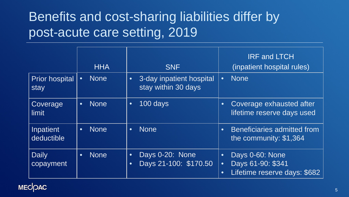## Benefits and cost-sharing liabilities differ by post-acute care setting, 2019

|                               | <b>HHA</b>               | <b>SNF</b>                                                         | <b>IRF and LTCH</b><br>(inpatient hospital rules)                                                           |
|-------------------------------|--------------------------|--------------------------------------------------------------------|-------------------------------------------------------------------------------------------------------------|
| <b>Prior hospital</b><br>stay | <b>None</b><br>$\bullet$ | 3-day inpatient hospital<br>$\bullet$<br>stay within 30 days       | None<br>$\bullet$                                                                                           |
| Coverage<br>limit             | <b>None</b><br>$\bullet$ | 100 days<br>$\bullet$                                              | Coverage exhausted after<br>$\bullet$<br>lifetime reserve days used                                         |
| Inpatient<br>deductible       | <b>None</b><br>$\bullet$ | <b>None</b><br>$\bullet$                                           | Beneficiaries admitted from<br>$\bullet$<br>the community: \$1,364                                          |
| Daily<br>copayment            | <b>None</b><br>$\bullet$ | Days 0-20: None<br>$\bullet$<br>Days 21-100: \$170.50<br>$\bullet$ | Days 0-60: None<br>$\bullet$<br>Days 61-90: \$341<br>$\bullet$<br>Lifetime reserve days: \$682<br>$\bullet$ |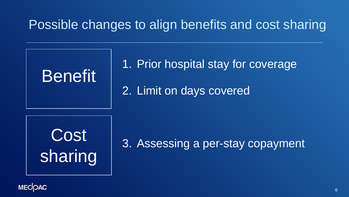## Possible changes to align benefits and cost sharing



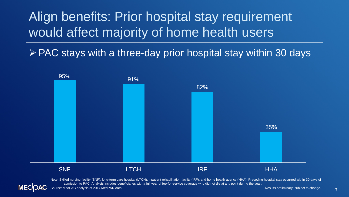Align benefits: Prior hospital stay requirement would affect majority of home health users

 $\triangleright$  PAC stays with a three-day prior hospital stay within 30 days



Note: Skilled nursing facility (SNF), long-term care hospital (LTCH), inpatient rehabilitation facility (IRF), and home health agency (HHA). Preceding hospital stay occurred within 30 days of admission to PAC. Analysis includes beneficiaries with a full year of fee-for-service coverage who did not die at any point during the year.

Source: MedPAC analysis of 2017 MedPAR data. The state of the state of the state of the state of the state of the state of the state of the state of the state of the state of the state of the state of the state of the stat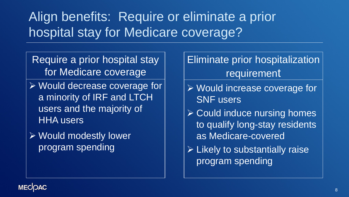# Align benefits: Require or eliminate a prior hospital stay for Medicare coverage?

Require a prior hospital stay for Medicare coverage

- Would decrease coverage for a minority of IRF and LTCH users and the majority of HHA users
- Would modestly lower program spending
- Eliminate prior hospitalization requirement
- Would increase coverage for SNF users
- $\triangleright$  Could induce nursing homes to qualify long-stay residents as Medicare-covered
- $\triangleright$  Likely to substantially raise program spending

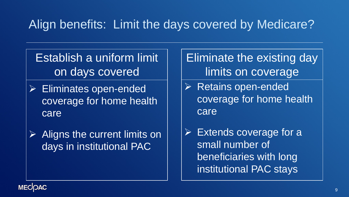#### Align benefits: Limit the days covered by Medicare?

Establish a uniform limit on days covered

- Eliminates open-ended coverage for home health care
- $\triangleright$  Aligns the current limits on days in institutional PAC

Eliminate the existing day limits on coverage

- $\triangleright$  Retains open-ended coverage for home health care
- $\triangleright$  Extends coverage for a small number of beneficiaries with long institutional PAC stays

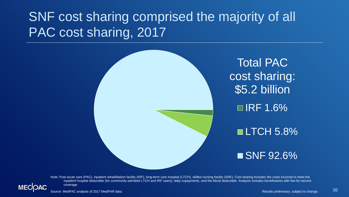# SNF cost sharing comprised the majority of all PAC cost sharing, 2017



Note: Post-acute care (PAC), inpatient rehabilitation facility (IRF), long-term care hospital (LTCH), skilled nursing facility (SNF). Cost sharing includes the costs incurred to meet the inpatient hospital deductible (for community-admitted LTCH and IRF users), daily copayments, and the blood deductible. Analysis includes beneficiaries with fee-for-service coverage.

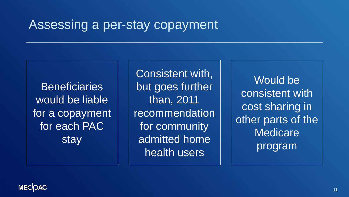#### Assessing a per-stay copayment

**Beneficiaries** would be liable for a copayment for each PAC stay

Consistent with, but goes further than, 2011 recommendation for community admitted home health users

Would be consistent with cost sharing in other parts of the **Medicare** program

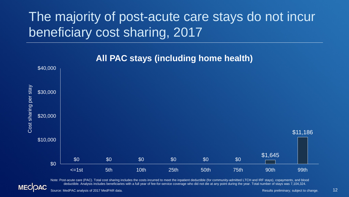# The majority of post-acute care stays do not incur beneficiary cost sharing, 2017



#### **All PAC stays (including home health)**

Note: Post-acute care (PAC). Total cost sharing includes the costs incurred to meet the inpatient deductible (for community-admitted LTCH and IRF stays), copayments, and blood deductible. Analysis includes beneficiaries with a full year of fee-for-service coverage who did not die at any point during the year. Total number of stays was 7,104,324.

Source: MedPAC analysis of 2017 MedPAR data. The state of the state of the state of the state of the state of the state of the state of the state of the state of the state of the state of the state of the state of the stat

12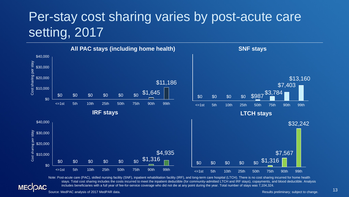## Per-stay cost sharing varies by post-acute care setting, 2017



Note: Post-acute care (PAC), skilled nursing facility (SNF), inpatient rehabilitation facility (IRF), and long-term care hospital (LTCH). There is no cost sharing incurred for home health stays. Total cost sharing includes the costs incurred to meet the inpatient deductible (for community-admitted LTCH and IRF stays), copayments, and blood deductible. Analysis includes beneficiaries with a full year of fee-for-service coverage who did not die at any point during the year. Total number of stays was 7,104,324.

#### **MECOAC** 13 Source: MedPAC analysis of 2017 MedPAR data. And the state of the state of the state of the state of the state of the state of the state of the state of the state of the state of the state of the state of the state of t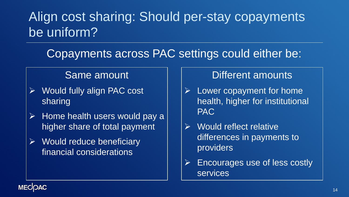## Align cost sharing: Should per-stay copayments be uniform?

#### Copayments across PAC settings could either be:

#### Same amount

- Would fully align PAC cost sharing
- $\triangleright$  Home health users would pay a higher share of total payment
- $\triangleright$  Would reduce beneficiary financial considerations

#### Different amounts

- $\triangleright$  Lower copayment for home health, higher for institutional PAC
- $\triangleright$  Would reflect relative differences in payments to providers
- $\triangleright$  Encourages use of less costly services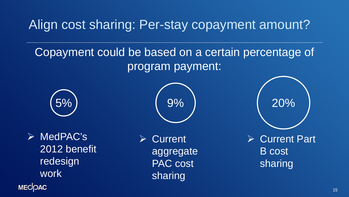Align cost sharing: Per-stay copayment amount?

#### Copayment could be based on a certain percentage of program payment:



 $\triangleright$  MedPAC's 2012 benefit redesign work **MECOAC** 

**Current** aggregate PAC cost sharing

5% 9% 20%

 Current Part B cost sharing